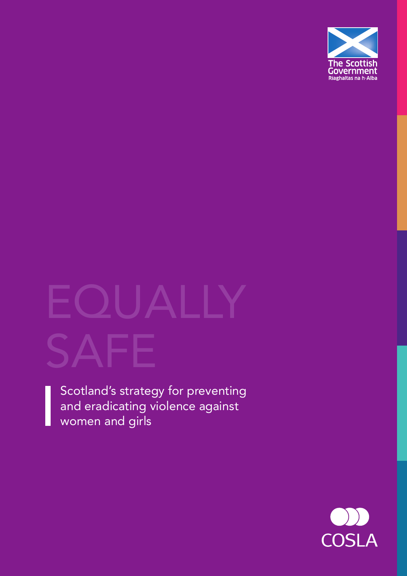

# $\mathsf{L}$ SAFE

Scotland's strategy for preventing and eradicating violence against women and girls

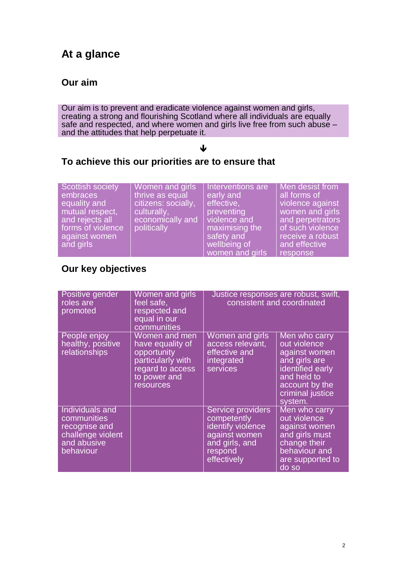## **At a glance**

#### **Our aim**

Our aim is to prevent and eradicate violence against women and girls, creating a strong and flourishing Scotland where all individuals are equally safe and respected, and where women and girls live free from such abuse – and the attitudes that help perpetuate it.

#### ↓

#### **To achieve this our priorities are to ensure that**

| Scottish society           | Women and girls     | Interventions are                             | Men desist from                               |
|----------------------------|---------------------|-----------------------------------------------|-----------------------------------------------|
| embraces                   | thrive as equal     | early and                                     | all forms of                                  |
| equality and               | citizens: socially, | effective,                                    | violence against                              |
| mutual respect,            | culturally,         | preventing                                    | women and girls                               |
| and rejects all            | economically and    | violence and                                  | and perpetrators                              |
| forms of violence          | politically         | maximising the                                | of such violence                              |
| against women<br>and girls |                     | safety and<br>wellbeing of<br>women and girls | receive a robust<br>and effective<br>response |

## **Our key objectives**

| Positive gender<br>roles are<br>promoted                                                                | Women and girls<br>feel safe,<br>respected and<br>equal in our<br>communities                                          | Justice responses are robust, swift,<br>consistent and coordinated                                                 |                                                                                                                                                     |
|---------------------------------------------------------------------------------------------------------|------------------------------------------------------------------------------------------------------------------------|--------------------------------------------------------------------------------------------------------------------|-----------------------------------------------------------------------------------------------------------------------------------------------------|
| People enjoy<br>healthy, positive<br>relationships                                                      | Women and men<br>have equality of<br>opportunity<br>particularly with<br>regard to access<br>to power and<br>resources | Women and girls<br>access relevant,<br>effective and<br>integrated<br>services                                     | Men who carry<br>out violence<br>against women<br>and girls are<br>identified early<br>and held to<br>account by the<br>criminal justice<br>system. |
| <b>Individuals and</b><br>communities<br>recognise and<br>challenge violent<br>and abusive<br>behaviour |                                                                                                                        | Service providers<br>competently<br>identify violence<br>against women<br>and girls, and<br>respond<br>effectively | Men who carry<br>out violence<br>against women<br>and girls must<br>change their<br>behaviour and<br>are supported to<br>do so                      |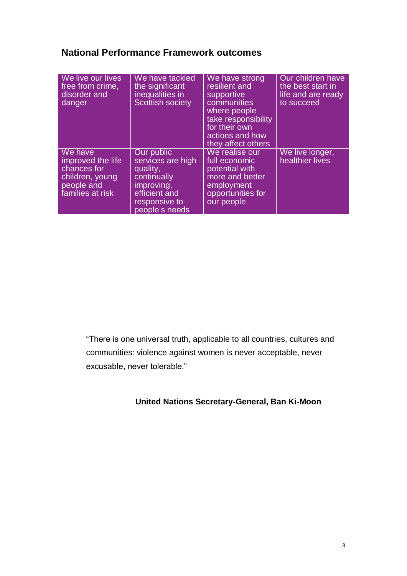## **National Performance Framework outcomes**

| We live our lives<br>free from crime,<br>disorder and<br>danger                                  | We have tackled<br>the significant<br>inequalities in<br><b>Scottish society</b>                                             | We have strong<br>resilient and<br>supportive<br>communities<br>where people<br>take responsibility<br>for their own<br>actions and how<br>they affect others | Our children have<br>the best start in<br>life and are ready<br>to succeed |
|--------------------------------------------------------------------------------------------------|------------------------------------------------------------------------------------------------------------------------------|---------------------------------------------------------------------------------------------------------------------------------------------------------------|----------------------------------------------------------------------------|
| We have<br>improved the life<br>chances for<br>children, young<br>people and<br>families at risk | Our public<br>services are high<br>quality,<br>continually<br>improving,<br>efficient and<br>responsive to<br>people's needs | We realise our<br>full economic<br>potential with<br>more and better<br>employment<br>opportunities for<br>our people                                         | We live longer,<br>healthier lives                                         |

"There is one universal truth, applicable to all countries, cultures and communities: violence against women is never acceptable, never excusable, never tolerable."

#### **United Nations Secretary-General, Ban Ki-Moon**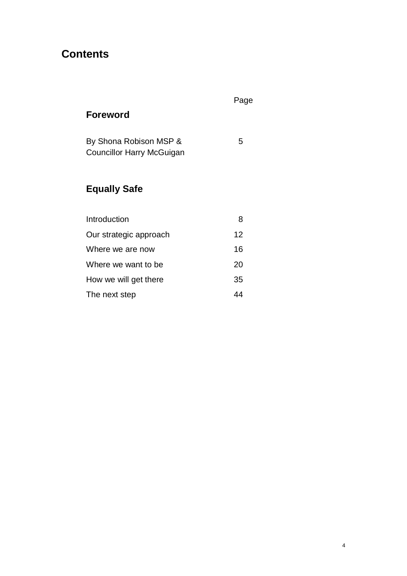## **Contents**

## Page

## **Foreword**

| By Shona Robison MSP &    | 5 |
|---------------------------|---|
| Councillor Harry McGuigan |   |

## **Equally Safe**

| Introduction           | 8  |
|------------------------|----|
| Our strategic approach | 12 |
| Where we are now       | 16 |
| Where we want to be    | 20 |
| How we will get there  | 35 |
| The next step          |    |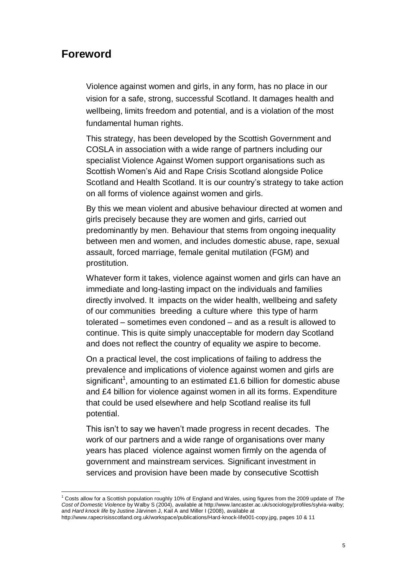#### **Foreword**

 $\overline{a}$ 

Violence against women and girls, in any form, has no place in our vision for a safe, strong, successful Scotland. It damages health and wellbeing, limits freedom and potential, and is a violation of the most fundamental human rights.

This strategy, has been developed by the Scottish Government and COSLA in association with a wide range of partners including our specialist Violence Against Women support organisations such as Scottish Women's Aid and Rape Crisis Scotland alongside Police Scotland and Health Scotland. It is our country's strategy to take action on all forms of violence against women and girls.

By this we mean violent and abusive behaviour directed at women and girls precisely because they are women and girls, carried out predominantly by men. Behaviour that stems from ongoing inequality between men and women, and includes domestic abuse, rape, sexual assault, forced marriage, female genital mutilation (FGM) and prostitution.

Whatever form it takes, violence against women and girls can have an immediate and long-lasting impact on the individuals and families directly involved. It impacts on the wider health, wellbeing and safety of our communities breeding a culture where this type of harm tolerated – sometimes even condoned – and as a result is allowed to continue. This is quite simply unacceptable for modern day Scotland and does not reflect the country of equality we aspire to become.

On a practical level, the cost implications of failing to address the prevalence and implications of violence against women and girls are significant<sup>1</sup>, amounting to an estimated £1.6 billion for domestic abuse and £4 billion for violence against women in all its forms. Expenditure that could be used elsewhere and help Scotland realise its full potential.

This isn't to say we haven't made progress in recent decades. The work of our partners and a wide range of organisations over many years has placed violence against women firmly on the agenda of government and mainstream services. Significant investment in services and provision have been made by consecutive Scottish

<sup>1</sup> Costs allow for a Scottish population roughly 10% of England and Wales, using figures from the 2009 update of *The Cost of Domestic Violence* by Walby S (2004), available at http://www.lancaster.ac.uk/sociology/profiles/sylvia-walby; and *Hard knock life* by Justine Järvinen J, Kail A and Miller I (2008), available at

[http://www.rapecrisisscotland.org.uk/workspace/publications/Hard-knock-life001-copy.jpg,](http://www.rapecrisisscotland.org.uk/workspace/publications/Hard-knock-life001-copy.jpg) pages 10 & 11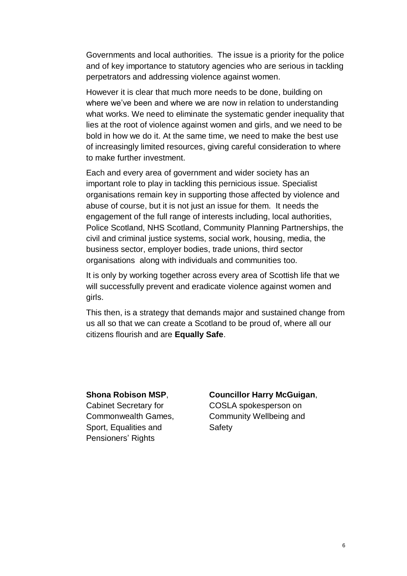Governments and local authorities. The issue is a priority for the police and of key importance to statutory agencies who are serious in tackling perpetrators and addressing violence against women.

However it is clear that much more needs to be done, building on where we've been and where we are now in relation to understanding what works. We need to eliminate the systematic gender inequality that lies at the root of violence against women and girls, and we need to be bold in how we do it. At the same time, we need to make the best use of increasingly limited resources, giving careful consideration to where to make further investment.

Each and every area of government and wider society has an important role to play in tackling this pernicious issue. Specialist organisations remain key in supporting those affected by violence and abuse of course, but it is not just an issue for them. It needs the engagement of the full range of interests including, local authorities, Police Scotland, NHS Scotland, Community Planning Partnerships, the civil and criminal justice systems, social work, housing, media, the business sector, employer bodies, trade unions, third sector organisations along with individuals and communities too.

It is only by working together across every area of Scottish life that we will successfully prevent and eradicate violence against women and girls.

This then, is a strategy that demands major and sustained change from us all so that we can create a Scotland to be proud of, where all our citizens flourish and are **Equally Safe**.

Sport, Equalities and Safety Pensioners' Rights

#### **Shona Robison MSP**, **Councillor Harry McGuigan**,

Cabinet Secretary for COSLA spokesperson on Commonwealth Games, Community Wellbeing and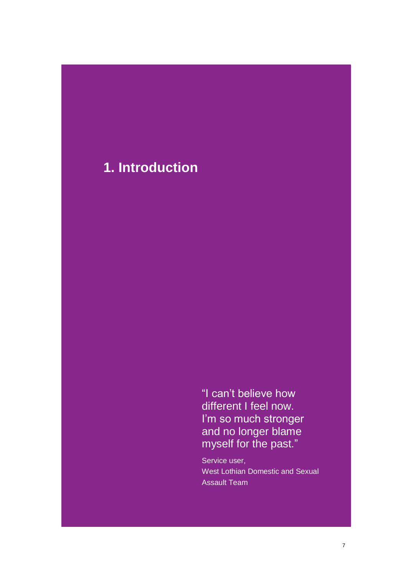## **1. Introduction**

"I can't believe how different I feel now. I'm so much stronger and no longer blame myself for the past."

Service user, West Lothian Domestic and Sexual Assault Team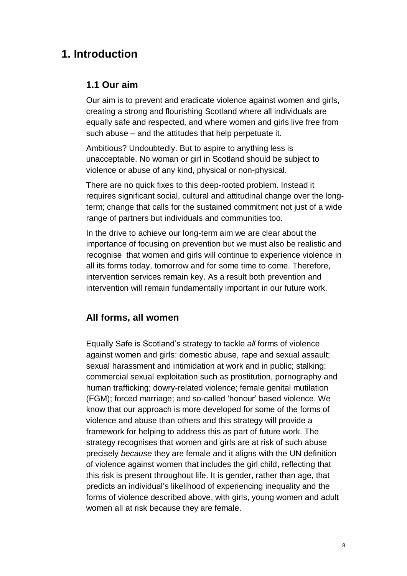## **1. Introduction**

#### **1.1 Our aim**

Our aim is to prevent and eradicate violence against women and girls, creating a strong and flourishing Scotland where all individuals are equally safe and respected, and where women and girls live free from such abuse – and the attitudes that help perpetuate it.

Ambitious? Undoubtedly. But to aspire to anything less is unacceptable. No woman or girl in Scotland should be subject to violence or abuse of any kind, physical or non-physical.

There are no quick fixes to this deep-rooted problem. Instead it requires significant social, cultural and attitudinal change over the longterm; change that calls for the sustained commitment not just of a wide range of partners but individuals and communities too.

In the drive to achieve our long-term aim we are clear about the importance of focusing on prevention but we must also be realistic and recognise that women and girls will continue to experience violence in all its forms today, tomorrow and for some time to come. Therefore, intervention services remain key. As a result both prevention and intervention will remain fundamentally important in our future work.

#### **All forms, all women**

Equally Safe is Scotland's strategy to tackle *all* forms of violence against women and girls: domestic abuse, rape and sexual assault; sexual harassment and intimidation at work and in public; stalking; commercial sexual exploitation such as prostitution, pornography and human trafficking; dowry-related violence; female genital mutilation (FGM); forced marriage; and so-called 'honour' based violence. We know that our approach is more developed for some of the forms of violence and abuse than others and this strategy will provide a framework for helping to address this as part of future work. The strategy recognises that women and girls are at risk of such abuse precisely *because* they are female and it aligns with the UN definition of violence against women that includes the girl child, reflecting that this risk is present throughout life. It is gender, rather than age, that predicts an individual's likelihood of experiencing inequality and the forms of violence described above, with girls, young women and adult women all at risk because they are female.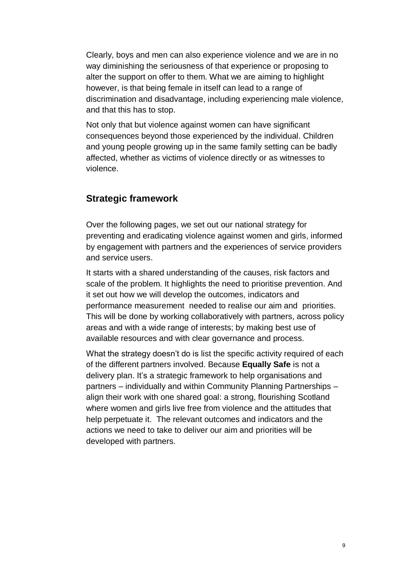Clearly, boys and men can also experience violence and we are in no way diminishing the seriousness of that experience or proposing to alter the support on offer to them. What we are aiming to highlight however, is that being female in itself can lead to a range of discrimination and disadvantage, including experiencing male violence, and that this has to stop.

Not only that but violence against women can have significant consequences beyond those experienced by the individual. Children and young people growing up in the same family setting can be badly affected, whether as victims of violence directly or as witnesses to violence.

#### **Strategic framework**

Over the following pages, we set out our national strategy for preventing and eradicating violence against women and girls, informed by engagement with partners and the experiences of service providers and service users.

It starts with a shared understanding of the causes, risk factors and scale of the problem. It highlights the need to prioritise prevention. And it set out how we will develop the outcomes, indicators and performance measurement needed to realise our aim and priorities. This will be done by working collaboratively with partners, across policy areas and with a wide range of interests; by making best use of available resources and with clear governance and process.

What the strategy doesn't do is list the specific activity required of each of the different partners involved. Because **Equally Safe** is not a delivery plan. It's a strategic framework to help organisations and partners – individually and within Community Planning Partnerships – align their work with one shared goal: a strong, flourishing Scotland where women and girls live free from violence and the attitudes that help perpetuate it. The relevant outcomes and indicators and the actions we need to take to deliver our aim and priorities will be developed with partners.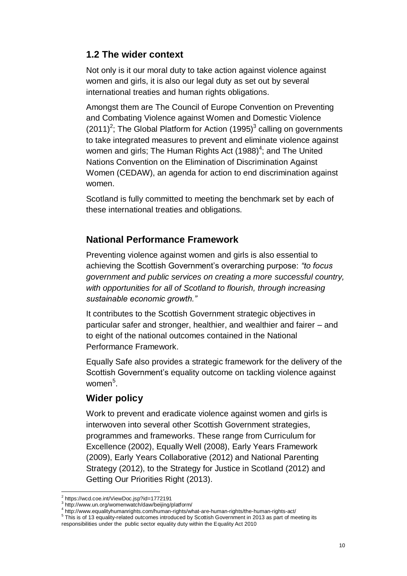#### **1.2 The wider context**

Not only is it our moral duty to take action against violence against women and girls, it is also our legal duty as set out by several international treaties and human rights obligations.

Amongst them are The Council of Europe Convention on Preventing and Combating Violence against Women and Domestic Violence  $(2011)^2$ ; The Global Platform for Action  $(1995)^3$  calling on governments to take integrated measures to prevent and eliminate violence against women and girls; The Human Rights Act  $(1988)^4$ ; and The United Nations Convention on the Elimination of Discrimination Against Women (CEDAW), an agenda for action to end discrimination against women.

Scotland is fully committed to meeting the benchmark set by each of these international treaties and obligations.

#### **National Performance Framework**

Preventing violence against women and girls is also essential to achieving the Scottish Government's overarching purpose: *"to focus government and public services on creating a more successful country, with opportunities for all of Scotland to flourish, through increasing sustainable economic growth."* 

It contributes to the Scottish Government strategic objectives in particular safer and stronger, healthier, and wealthier and fairer – and to eight of the national outcomes contained in the National Performance Framework.

Equally Safe also provides a strategic framework for the delivery of the Scottish Government's equality outcome on tackling violence against women<sup>5</sup>.

#### **Wider policy**

Work to prevent and eradicate violence against women and girls is interwoven into several other Scottish Government strategies, programmes and frameworks. These range from Curriculum for Excellence (2002), Equally Well (2008), Early Years Framework (2009), Early Years Collaborative (2012) and National Parenting Strategy (2012), to the Strategy for Justice in Scotland (2012) and Getting Our Priorities Right (2013).

 $\overline{a}$ 2 https://wcd.coe.int/ViewDoc.jsp?id=1772191

<sup>3</sup> http://www.un.org/womenwatch/daw/beijing/platform/

<sup>4</sup> http://www.equalityhumanrights.com/human-rights/what-are-human-rights/the-human-rights-act/

 $5$  This is of 13 equality-related outcomes introduced by Scottish Government in 2013 as part of meeting its

responsibilities under the public sector equality duty within the Equality Act 2010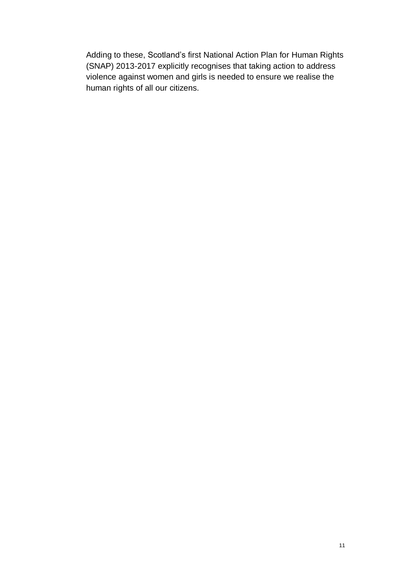Adding to these, Scotland's first National Action Plan for Human Rights (SNAP) 2013-2017 explicitly recognises that taking action to address violence against women and girls is needed to ensure we realise the human rights of all our citizens.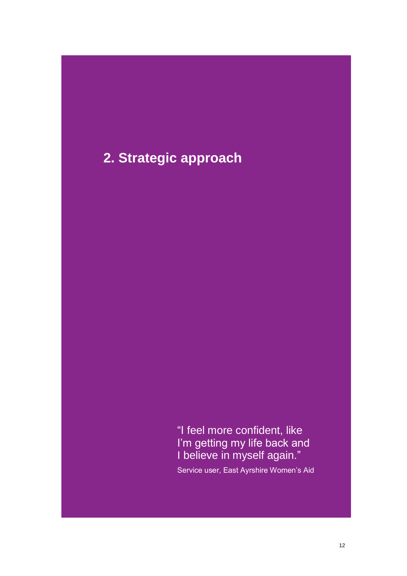## **2. Strategic approach**

"I feel more confident, like I'm getting my life back and I believe in myself again."

Service user, East Ayrshire Women's Aid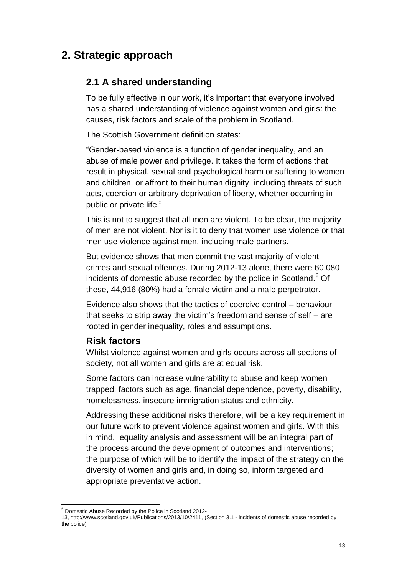## **2. Strategic approach**

#### **2.1 A shared understanding**

To be fully effective in our work, it's important that everyone involved has a shared understanding of violence against women and girls: the causes, risk factors and scale of the problem in Scotland.

The Scottish Government definition states:

"Gender-based violence is a function of gender inequality, and an abuse of male power and privilege. It takes the form of actions that result in physical, sexual and psychological harm or suffering to women and children, or affront to their human dignity, including threats of such acts, coercion or arbitrary deprivation of liberty, whether occurring in public or private life."

This is not to suggest that all men are violent. To be clear, the majority of men are not violent. Nor is it to deny that women use violence or that men use violence against men, including male partners.

But evidence shows that men commit the vast majority of violent crimes and sexual offences. During 2012-13 alone, there were 60,080 incidents of domestic abuse recorded by the police in Scotland.<sup>6</sup> Of these, 44,916 (80%) had a female victim and a male perpetrator.

Evidence also shows that the tactics of coercive control – behaviour that seeks to strip away the victim's freedom and sense of self – are rooted in gender inequality, roles and assumptions.

#### **Risk factors**

Whilst violence against women and girls occurs across all sections of society, not all women and girls are at equal risk.

Some factors can increase vulnerability to abuse and keep women trapped; factors such as age, financial dependence, poverty, disability, homelessness, insecure immigration status and ethnicity.

Addressing these additional risks therefore, will be a key requirement in our future work to prevent violence against women and girls. With this in mind, equality analysis and assessment will be an integral part of the process around the development of outcomes and interventions; the purpose of which will be to identify the impact of the strategy on the diversity of women and girls and, in doing so, inform targeted and appropriate preventative action.

l  $6$  Domestic Abuse Recorded by the Police in Scotland 2012-

<sup>13,</sup> http://www.scotland.gov.uk/Publications/2013/10/2411, (Section 3.1 - incidents of domestic abuse recorded by the police)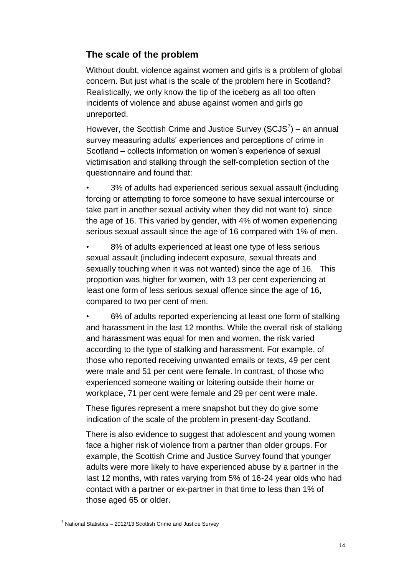#### **The scale of the problem**

Without doubt, violence against women and girls is a problem of global concern. But just what is the scale of the problem here in Scotland? Realistically, we only know the tip of the iceberg as all too often incidents of violence and abuse against women and girls go unreported.

However, the Scottish Crime and Justice Survey (SCJS $^7$ ) – an annual survey measuring adults' experiences and perceptions of crime in Scotland – collects information on women's experience of sexual victimisation and stalking through the self-completion section of the questionnaire and found that:

• 3% of adults had experienced serious sexual assault (including forcing or attempting to force someone to have sexual intercourse or take part in another sexual activity when they did not want to) since the age of 16. This varied by gender, with 4% of women experiencing serious sexual assault since the age of 16 compared with 1% of men.

8% of adults experienced at least one type of less serious sexual assault (including indecent exposure, sexual threats and sexually touching when it was not wanted) since the age of 16. This proportion was higher for women, with 13 per cent experiencing at least one form of less serious sexual offence since the age of 16, compared to two per cent of men.

• 6% of adults reported experiencing at least one form of stalking and harassment in the last 12 months. While the overall risk of stalking and harassment was equal for men and women, the risk varied according to the type of stalking and harassment. For example, of those who reported receiving unwanted emails or texts, 49 per cent were male and 51 per cent were female. In contrast, of those who experienced someone waiting or loitering outside their home or workplace, 71 per cent were female and 29 per cent were male.

These figures represent a mere snapshot but they do give some indication of the scale of the problem in present-day Scotland.

There is also evidence to suggest that adolescent and young women face a higher risk of violence from a partner than older groups. For example, the Scottish Crime and Justice Survey found that younger adults were more likely to have experienced abuse by a partner in the last 12 months, with rates varying from 5% of 16-24 year olds who had contact with a partner or ex-partner in that time to less than 1% of those aged 65 or older.

 $\overline{a}$  $7$  National Statistics – 2012/13 Scottish Crime and Justice Survey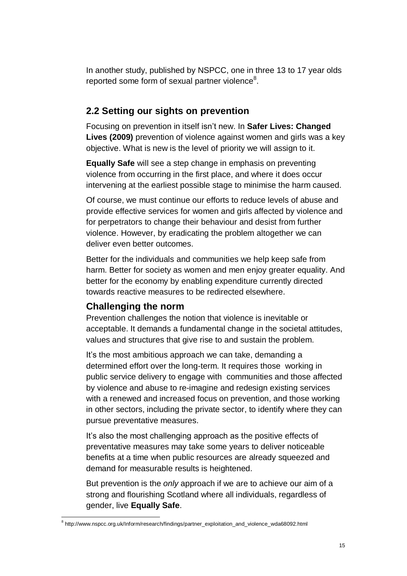In another study, published by NSPCC, one in three 13 to 17 year olds reported some form of sexual partner violence $8$ .

#### **2.2 Setting our sights on prevention**

Focusing on prevention in itself isn't new. In **Safer Lives: Changed Lives (2009)** prevention of violence against women and girls was a key objective. What is new is the level of priority we will assign to it.

**Equally Safe** will see a step change in emphasis on preventing violence from occurring in the first place, and where it does occur intervening at the earliest possible stage to minimise the harm caused.

Of course, we must continue our efforts to reduce levels of abuse and provide effective services for women and girls affected by violence and for perpetrators to change their behaviour and desist from further violence. However, by eradicating the problem altogether we can deliver even better outcomes.

Better for the individuals and communities we help keep safe from harm. Better for society as women and men enjoy greater equality. And better for the economy by enabling expenditure currently directed towards reactive measures to be redirected elsewhere.

#### **Challenging the norm**

Prevention challenges the notion that violence is inevitable or acceptable. It demands a fundamental change in the societal attitudes, values and structures that give rise to and sustain the problem.

It's the most ambitious approach we can take, demanding a determined effort over the long-term. It requires those working in public service delivery to engage with communities and those affected by violence and abuse to re-imagine and redesign existing services with a renewed and increased focus on prevention, and those working in other sectors, including the private sector, to identify where they can pursue preventative measures.

It's also the most challenging approach as the positive effects of preventative measures may take some years to deliver noticeable benefits at a time when public resources are already squeezed and demand for measurable results is heightened.

But prevention is the *only* approach if we are to achieve our aim of a strong and flourishing Scotland where all individuals, regardless of gender, live **Equally Safe**.

 $\overline{a}$ <sup>8</sup> http://www.nspcc.org.uk/Inform/research/findings/partner\_exploitation\_and\_violence\_wda68092.html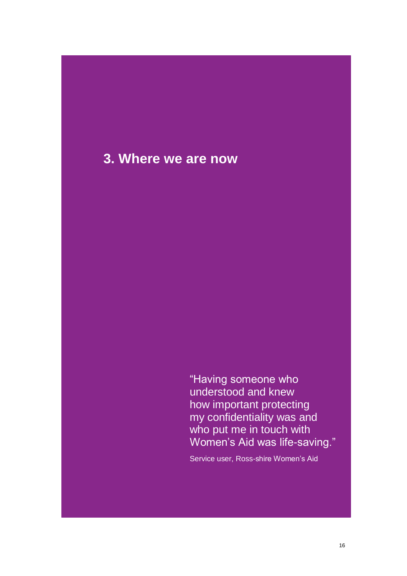## **3. Where we are now**

"Having someone who understood and knew how important protecting my confidentiality was and who put me in touch with Women's Aid was life-saving."

Service user, Ross-shire Women's Aid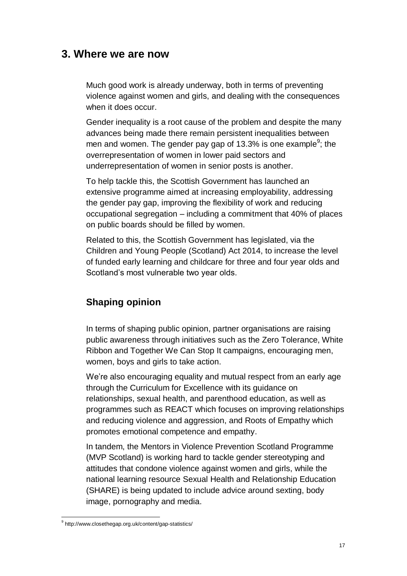#### **3. Where we are now**

Much good work is already underway, both in terms of preventing violence against women and girls, and dealing with the consequences when it does occur.

Gender inequality is a root cause of the problem and despite the many advances being made there remain persistent inequalities between men and women. The gender pay gap of 13.3% is one example<sup>9</sup>; the overrepresentation of women in lower paid sectors and underrepresentation of women in senior posts is another.

To help tackle this, the Scottish Government has launched an extensive programme aimed at increasing employability, addressing the gender pay gap, improving the flexibility of work and reducing occupational segregation – including a commitment that 40% of places on public boards should be filled by women.

Related to this, the Scottish Government has legislated, via the Children and Young People (Scotland) Act 2014, to increase the level of funded early learning and childcare for three and four year olds and Scotland's most vulnerable two year olds.

#### **Shaping opinion**

In terms of shaping public opinion, partner organisations are raising public awareness through initiatives such as the Zero Tolerance, White Ribbon and Together We Can Stop It campaigns, encouraging men, women, boys and girls to take action.

We're also encouraging equality and mutual respect from an early age through the Curriculum for Excellence with its guidance on relationships, sexual health, and parenthood education, as well as programmes such as REACT which focuses on improving relationships and reducing violence and aggression, and Roots of Empathy which promotes emotional competence and empathy.

In tandem, the Mentors in Violence Prevention Scotland Programme (MVP Scotland) is working hard to tackle gender stereotyping and attitudes that condone violence against women and girls, while the national learning resource Sexual Health and Relationship Education (SHARE) is being updated to include advice around sexting, body image, pornography and media.

 $\overline{a}$ 

<sup>&</sup>lt;sup>9</sup> http://www.closethegap.org.uk/content/gap-statistics/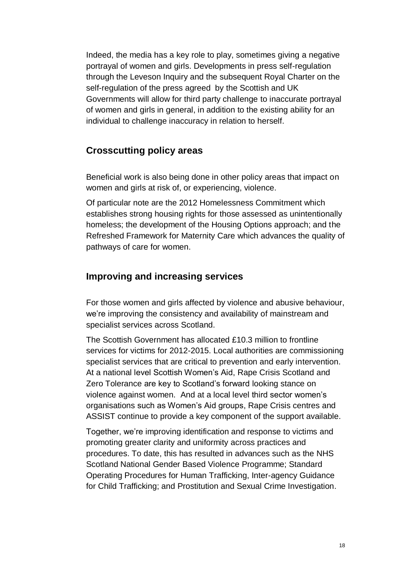Indeed, the media has a key role to play, sometimes giving a negative portrayal of women and girls. Developments in press self-regulation through the Leveson Inquiry and the subsequent Royal Charter on the self-regulation of the press agreed by the Scottish and UK Governments will allow for third party challenge to inaccurate portrayal of women and girls in general, in addition to the existing ability for an individual to challenge inaccuracy in relation to herself.

#### **Crosscutting policy areas**

Beneficial work is also being done in other policy areas that impact on women and girls at risk of, or experiencing, violence.

Of particular note are the 2012 Homelessness Commitment which establishes strong housing rights for those assessed as unintentionally homeless; the development of the Housing Options approach; and the Refreshed Framework for Maternity Care which advances the quality of pathways of care for women.

#### **Improving and increasing services**

For those women and girls affected by violence and abusive behaviour, we're improving the consistency and availability of mainstream and specialist services across Scotland.

The Scottish Government has allocated £10.3 million to frontline services for victims for 2012-2015. Local authorities are commissioning specialist services that are critical to prevention and early intervention. At a national level Scottish Women's Aid, Rape Crisis Scotland and Zero Tolerance are key to Scotland's forward looking stance on violence against women. And at a local level third sector women's organisations such as Women's Aid groups, Rape Crisis centres and ASSIST continue to provide a key component of the support available.

Together, we're improving identification and response to victims and promoting greater clarity and uniformity across practices and procedures. To date, this has resulted in advances such as the NHS Scotland National Gender Based Violence Programme; Standard Operating Procedures for Human Trafficking, Inter-agency Guidance for Child Trafficking; and Prostitution and Sexual Crime Investigation.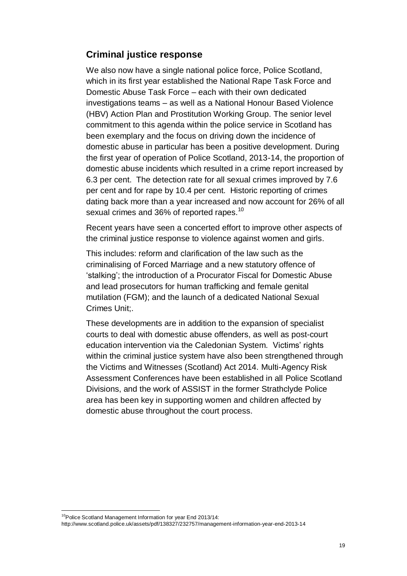#### **Criminal justice response**

We also now have a single national police force, Police Scotland, which in its first year established the National Rape Task Force and Domestic Abuse Task Force – each with their own dedicated investigations teams – as well as a National Honour Based Violence (HBV) Action Plan and Prostitution Working Group. The senior level commitment to this agenda within the police service in Scotland has been exemplary and the focus on driving down the incidence of domestic abuse in particular has been a positive development. During the first year of operation of Police Scotland, 2013-14, the proportion of domestic abuse incidents which resulted in a crime report increased by 6.3 per cent. The detection rate for all sexual crimes improved by 7.6 per cent and for rape by 10.4 per cent. Historic reporting of crimes dating back more than a year increased and now account for 26% of all sexual crimes and 36% of reported rapes.<sup>10</sup>

Recent years have seen a concerted effort to improve other aspects of the criminal justice response to violence against women and girls.

This includes: reform and clarification of the law such as the criminalising of Forced Marriage and a new statutory offence of 'stalking'; the introduction of a Procurator Fiscal for Domestic Abuse and lead prosecutors for human trafficking and female genital mutilation (FGM); and the launch of a dedicated National Sexual Crimes Unit;.

These developments are in addition to the expansion of specialist courts to deal with domestic abuse offenders, as well as post-court education intervention via the Caledonian System. Victims' rights within the criminal justice system have also been strengthened through the Victims and Witnesses (Scotland) Act 2014. Multi-Agency Risk Assessment Conferences have been established in all Police Scotland Divisions, and the work of ASSIST in the former Strathclyde Police area has been key in supporting women and children affected by domestic abuse throughout the court process.

 $\overline{a}$ 

<sup>&</sup>lt;sup>10</sup>Police Scotland Management Information for year End 2013/14:

http://www.scotland.police.uk/assets/pdf/138327/232757/management-information-year-end-2013-14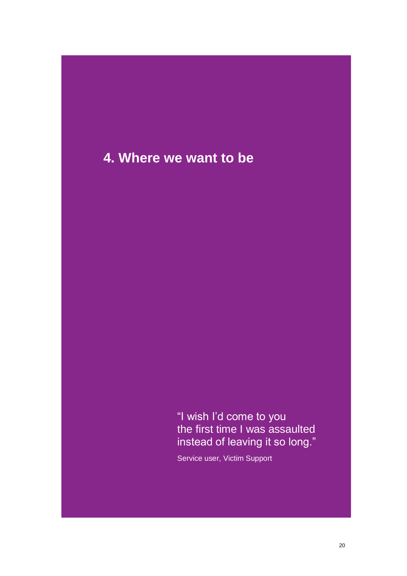## **4. Where we want to be**

"I wish I'd come to you the first time I was assaulted instead of leaving it so long."

Service user, Victim Support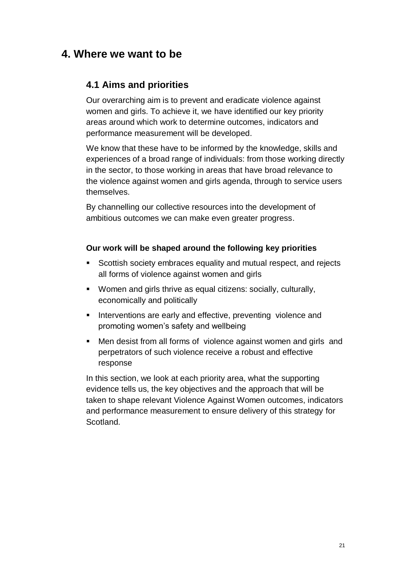## **4. Where we want to be**

#### **4.1 Aims and priorities**

Our overarching aim is to prevent and eradicate violence against women and girls. To achieve it, we have identified our key priority areas around which work to determine outcomes, indicators and performance measurement will be developed.

We know that these have to be informed by the knowledge, skills and experiences of a broad range of individuals: from those working directly in the sector, to those working in areas that have broad relevance to the violence against women and girls agenda, through to service users themselves.

By channelling our collective resources into the development of ambitious outcomes we can make even greater progress.

#### **Our work will be shaped around the following key priorities**

- Scottish society embraces equality and mutual respect, and rejects all forms of violence against women and girls
- Women and girls thrive as equal citizens: socially, culturally, economically and politically
- **Interventions are early and effective, preventing violence and** promoting women's safety and wellbeing
- Men desist from all forms of violence against women and girls and perpetrators of such violence receive a robust and effective response

In this section, we look at each priority area, what the supporting evidence tells us, the key objectives and the approach that will be taken to shape relevant Violence Against Women outcomes, indicators and performance measurement to ensure delivery of this strategy for Scotland.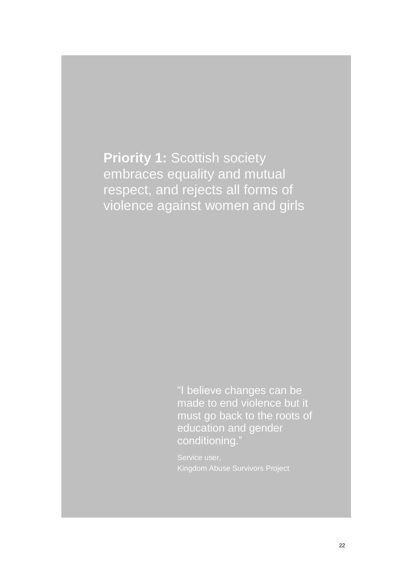**Priority 1: Scottish society** embraces equality and mutual respect, and rejects all forms of violence against women and girls

> "I believe changes can be made to end violence but it must go back to the roots of education and gender conditioning."

Kingdom Abuse Survivors Project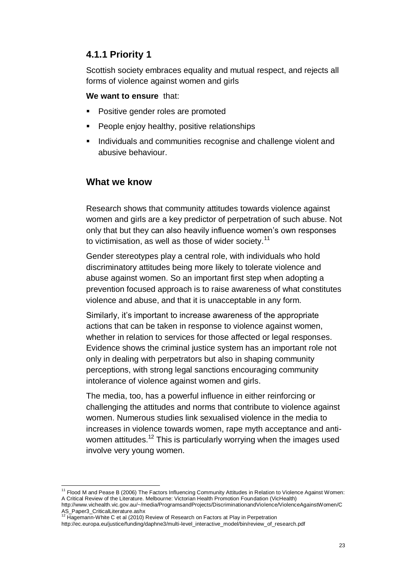#### **4.1.1 Priority 1**

Scottish society embraces equality and mutual respect, and rejects all forms of violence against women and girls

#### **We want to ensure** that:

- Positive gender roles are promoted
- People enjoy healthy, positive relationships
- Individuals and communities recognise and challenge violent and abusive behaviour.

#### **What we know**

Research shows that community attitudes towards violence against women and girls are a key predictor of perpetration of such abuse. Not only that but they can also heavily influence women's own responses to victimisation, as well as those of wider society.<sup>11</sup>

Gender stereotypes play a central role, with individuals who hold discriminatory attitudes being more likely to tolerate violence and abuse against women. So an important first step when adopting a prevention focused approach is to raise awareness of what constitutes violence and abuse, and that it is unacceptable in any form.

Similarly, it's important to increase awareness of the appropriate actions that can be taken in response to violence against women, whether in relation to services for those affected or legal responses. Evidence shows the criminal justice system has an important role not only in dealing with perpetrators but also in shaping community perceptions, with strong legal sanctions encouraging community intolerance of violence against women and girls.

The media, too, has a powerful influence in either reinforcing or challenging the attitudes and norms that contribute to violence against women. Numerous studies link sexualised violence in the media to increases in violence towards women, rape myth acceptance and antiwomen attitudes.<sup>12</sup> This is particularly worrying when the images used involve very young women.

 $\overline{a}$ <sup>11</sup> Flood M and Pease B (2006) The Factors Influencing Community Attitudes in Relation to Violence Against Women: A Critical Review of the Literature. Melbourne: Victorian Health Promotion Foundation (VicHealth)

[http://www.vichealth.vic.gov.au/~/media/ProgramsandProjects/DiscriminationandViolence/ViolenceAgainstWomen/C](http://www.vichealth.vic.gov.au/~/media/ProgramsandProjects/DiscriminationandViolence/ViolenceAgainstWomen/CAS_Paper3_CriticalLiterature.ashx)

[AS\\_Paper3\\_CriticalLiterature.ashx](http://www.vichealth.vic.gov.au/~/media/ProgramsandProjects/DiscriminationandViolence/ViolenceAgainstWomen/CAS_Paper3_CriticalLiterature.ashx)<br><sup>12</sup> Hagemann-White C et al (2010) Review of Research on Factors at Play in Perpetration

http://ec.europa.eu/justice/funding/daphne3/multi-level\_interactive\_model/bin/review\_of\_research.pdf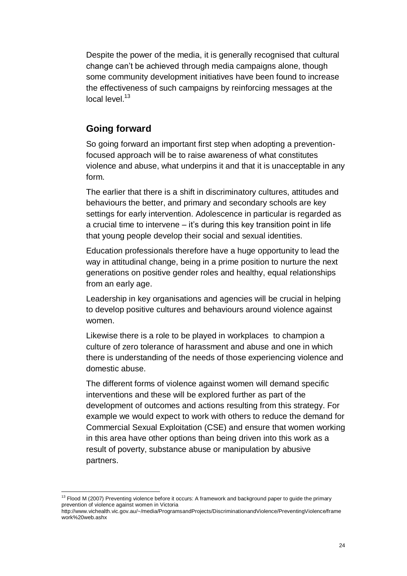Despite the power of the media, it is generally recognised that cultural change can't be achieved through media campaigns alone, though some community development initiatives have been found to increase the effectiveness of such campaigns by reinforcing messages at the local level.<sup>13</sup>

#### **Going forward**

 $\overline{a}$ 

So going forward an important first step when adopting a preventionfocused approach will be to raise awareness of what constitutes violence and abuse, what underpins it and that it is unacceptable in any form.

The earlier that there is a shift in discriminatory cultures, attitudes and behaviours the better, and primary and secondary schools are key settings for early intervention. Adolescence in particular is regarded as a crucial time to intervene – it's during this key transition point in life that young people develop their social and sexual identities.

Education professionals therefore have a huge opportunity to lead the way in attitudinal change, being in a prime position to nurture the next generations on positive gender roles and healthy, equal relationships from an early age.

Leadership in key organisations and agencies will be crucial in helping to develop positive cultures and behaviours around violence against women.

Likewise there is a role to be played in workplaces to champion a culture of zero tolerance of harassment and abuse and one in which there is understanding of the needs of those experiencing violence and domestic abuse.

The different forms of violence against women will demand specific interventions and these will be explored further as part of the development of outcomes and actions resulting from this strategy. For example we would expect to work with others to reduce the demand for Commercial Sexual Exploitation (CSE) and ensure that women working in this area have other options than being driven into this work as a result of poverty, substance abuse or manipulation by abusive partners.

<sup>&</sup>lt;sup>13</sup> Flood M (2007) Preventing violence before it occurs: A framework and background paper to guide the primary prevention of violence against women in Victoria

[http://www.vichealth.vic.gov.au/~/media/ProgramsandProjects/DiscriminationandViolence/PreventingViolence/frame](http://www.vichealth.vic.gov.au/~/media/ProgramsandProjects/DiscriminationandViolence/PreventingViolence/framework%20web.ashx) [work%20web.ashx](http://www.vichealth.vic.gov.au/~/media/ProgramsandProjects/DiscriminationandViolence/PreventingViolence/framework%20web.ashx)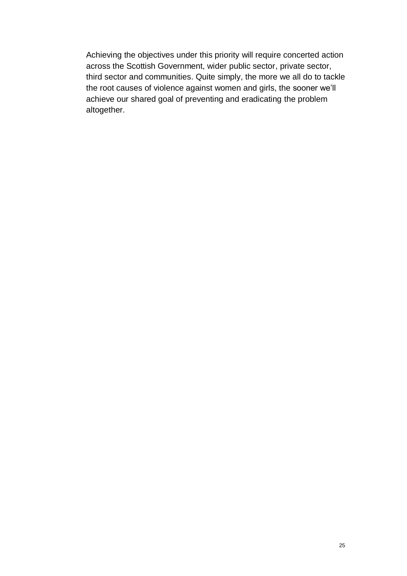Achieving the objectives under this priority will require concerted action across the Scottish Government, wider public sector, private sector, third sector and communities. Quite simply, the more we all do to tackle the root causes of violence against women and girls, the sooner we'll achieve our shared goal of preventing and eradicating the problem altogether.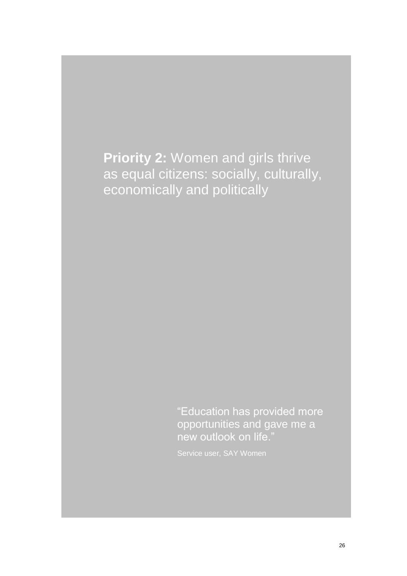**Priority 2:** Women and girls thrive as equal citizens: socially, culturally, economically and politically

> "Education has provided more opportunities and gave me a new outlook on life."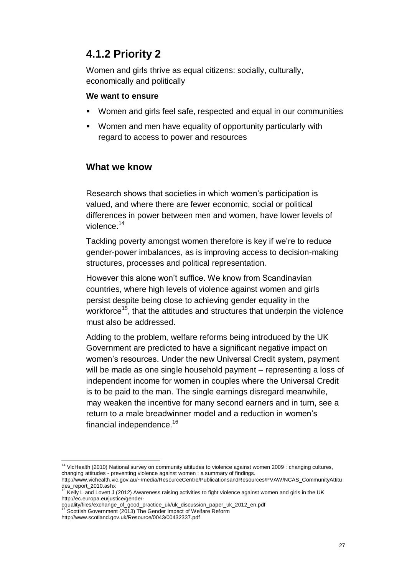## **4.1.2 Priority 2**

Women and girls thrive as equal citizens: socially, culturally, economically and politically

#### **We want to ensure**

- Women and girls feel safe, respected and equal in our communities
- Women and men have equality of opportunity particularly with regard to access to power and resources

#### **What we know**

Research shows that societies in which women's participation is valued, and where there are fewer economic, social or political differences in power between men and women, have lower levels of violence.<sup>14</sup>

Tackling poverty amongst women therefore is key if we're to reduce gender-power imbalances, as is improving access to decision-making structures, processes and political representation.

However this alone won't suffice. We know from Scandinavian countries, where high levels of violence against women and girls persist despite being close to achieving gender equality in the workforce<sup>15</sup>, that the attitudes and structures that underpin the violence must also be addressed.

Adding to the problem, welfare reforms being introduced by the UK Government are predicted to have a significant negative impact on women's resources. Under the new Universal Credit system, payment will be made as one single household payment – representing a loss of independent income for women in couples where the Universal Credit is to be paid to the man. The single earnings disregard meanwhile, may weaken the incentive for many second earners and in turn, see a return to a male breadwinner model and a reduction in women's financial independence.<sup>16</sup>

 $\overline{a}$ 

<sup>&</sup>lt;sup>14</sup> VicHealth (2010) National survey on community attitudes to violence against women 2009 : changing cultures, changing attitudes - preventing violence against women : a summary of findings.

http://www.vichealth.vic.gov.au/~/media/ResourceCentre/PublicationsandResources/PVAW/NCAS\_CommunityAttitu des\_report\_2010.ashx<br><sup>15</sup> Kelly L and Lovett J (2012) Awareness raising activities to fight violence against women and girls in the UK

http://ec.europa.eu/justice/gender-

equality/files/exchange\_of\_good\_practice\_uk/uk\_discussion\_paper\_uk\_2012\_en.pdf

Scottish Government (2013) The Gender Impact of Welfare Reform

http://www.scotland.gov.uk/Resource/0043/00432337.pdf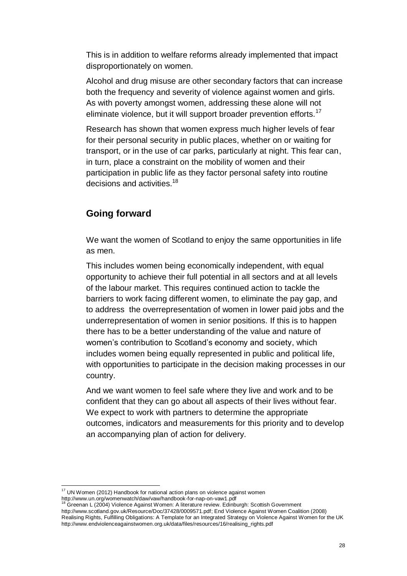This is in addition to welfare reforms already implemented that impact disproportionately on women.

Alcohol and drug misuse are other secondary factors that can increase both the frequency and severity of violence against women and girls. As with poverty amongst women, addressing these alone will not eliminate violence, but it will support broader prevention efforts.<sup>17</sup>

Research has shown that women express much higher levels of fear for their personal security in public places, whether on or waiting for transport, or in the use of car parks, particularly at night. This fear can, in turn, place a constraint on the mobility of women and their participation in public life as they factor personal safety into routine decisions and activities.<sup>18</sup>

#### **Going forward**

We want the women of Scotland to enjoy the same opportunities in life as men.

This includes women being economically independent, with equal opportunity to achieve their full potential in all sectors and at all levels of the labour market. This requires continued action to tackle the barriers to work facing different women, to eliminate the pay gap, and to address the overrepresentation of women in lower paid jobs and the underrepresentation of women in senior positions. If this is to happen there has to be a better understanding of the value and nature of women's contribution to Scotland's economy and society, which includes women being equally represented in public and political life, with opportunities to participate in the decision making processes in our country.

And we want women to feel safe where they live and work and to be confident that they can go about all aspects of their lives without fear. We expect to work with partners to determine the appropriate outcomes, indicators and measurements for this priority and to develop an accompanying plan of action for delivery.

 $\overline{a}$ 

<sup>18</sup> Greenan L (2004) Violence Against Women: A literature review. Edinburgh: Scottish Government

 $17$  UN Women (2012) Handbook for national action plans on violence against women http://www.un.org/womenwatch/daw/vaw/handbook-for-nap-on-vaw1.pdf

[http://www.scotland.gov.uk/Resource/Doc/37428/0009571.pdf;](http://www.scotland.gov.uk/Resource/Doc/37428/0009571.pdf) End Violence Against Women Coalition (2008) Realising Rights, Fulfilling Obligations: A Template for an Integrated Strategy on Violence Against Women for the UK http://www.endviolenceagainstwomen.org.uk/data/files/resources/16/realising\_rights.pdf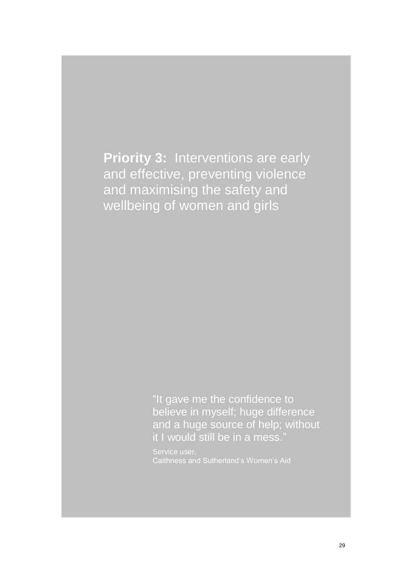**Priority 3:** Interventions are early and effective, preventing violence and maximising the safety and wellbeing of women and girls

> "It gave me the confidence to believe in myself; huge difference and a huge source of help; without it I would still be in a mess."

Caithness and Sutherland's Women's Aid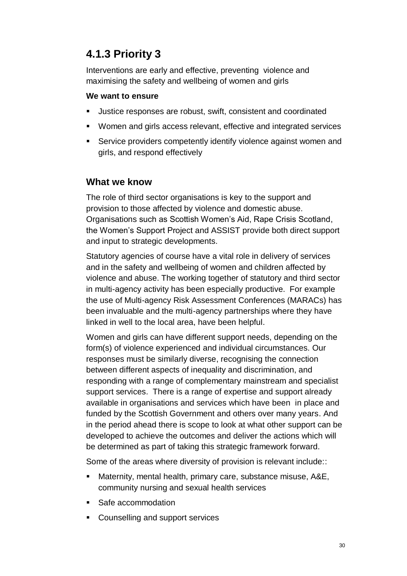## **4.1.3 Priority 3**

Interventions are early and effective, preventing violence and maximising the safety and wellbeing of women and girls

#### **We want to ensure**

- Justice responses are robust, swift, consistent and coordinated
- Women and girls access relevant, effective and integrated services
- Service providers competently identify violence against women and girls, and respond effectively

#### **What we know**

The role of third sector organisations is key to the support and provision to those affected by violence and domestic abuse. Organisations such as Scottish Women's Aid, Rape Crisis Scotland, the Women's Support Project and ASSIST provide both direct support and input to strategic developments.

Statutory agencies of course have a vital role in delivery of services and in the safety and wellbeing of women and children affected by violence and abuse. The working together of statutory and third sector in multi-agency activity has been especially productive. For example the use of Multi-agency Risk Assessment Conferences (MARACs) has been invaluable and the multi-agency partnerships where they have linked in well to the local area, have been helpful.

Women and girls can have different support needs, depending on the form(s) of violence experienced and individual circumstances. Our responses must be similarly diverse, recognising the connection between different aspects of inequality and discrimination, and responding with a range of complementary mainstream and specialist support services. There is a range of expertise and support already available in organisations and services which have been in place and funded by the Scottish Government and others over many years. And in the period ahead there is scope to look at what other support can be developed to achieve the outcomes and deliver the actions which will be determined as part of taking this strategic framework forward.

Some of the areas where diversity of provision is relevant include::

- Maternity, mental health, primary care, substance misuse, A&E, community nursing and sexual health services
- Safe accommodation
- **Counselling and support services**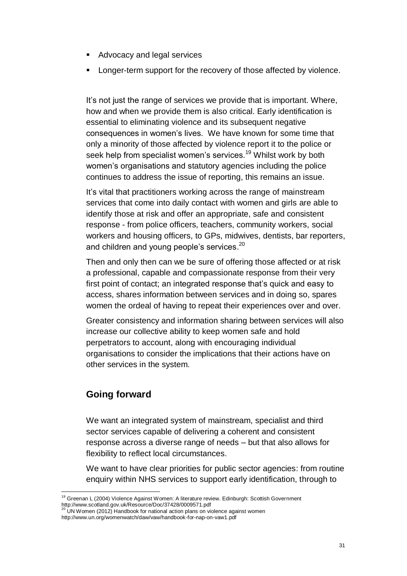- Advocacy and legal services
- **Longer-term support for the recovery of those affected by violence.**

It's not just the range of services we provide that is important. Where, how and when we provide them is also critical. Early identification is essential to eliminating violence and its subsequent negative consequences in women's lives. We have known for some time that only a minority of those affected by violence report it to the police or seek help from specialist women's services.<sup>19</sup> Whilst work by both women's organisations and statutory agencies including the police continues to address the issue of reporting, this remains an issue.

It's vital that practitioners working across the range of mainstream services that come into daily contact with women and girls are able to identify those at risk and offer an appropriate, safe and consistent response - from police officers, teachers, community workers, social workers and housing officers, to GPs, midwives, dentists, bar reporters, and children and young people's services.<sup>20</sup>

Then and only then can we be sure of offering those affected or at risk a professional, capable and compassionate response from their very first point of contact; an integrated response that's quick and easy to access, shares information between services and in doing so, spares women the ordeal of having to repeat their experiences over and over.

Greater consistency and information sharing between services will also increase our collective ability to keep women safe and hold perpetrators to account, along with encouraging individual organisations to consider the implications that their actions have on other services in the system.

#### **Going forward**

 $\overline{a}$ 

We want an integrated system of mainstream, specialist and third sector services capable of delivering a coherent and consistent response across a diverse range of needs – but that also allows for flexibility to reflect local circumstances.

We want to have clear priorities for public sector agencies: from routine enquiry within NHS services to support early identification, through to

<sup>&</sup>lt;sup>19</sup> Greenan L (2004) Violence Against Women: A literature review. Edinburgh: Scottish Government http://www.scotland.gov.uk/Resource/Doc/37428/0009571.pdf<br><sup>20</sup> UN Women (2012) Handbook for national action plans on violence against women

http://www.un.org/womenwatch/daw/vaw/handbook-for-nap-on-vaw1.pdf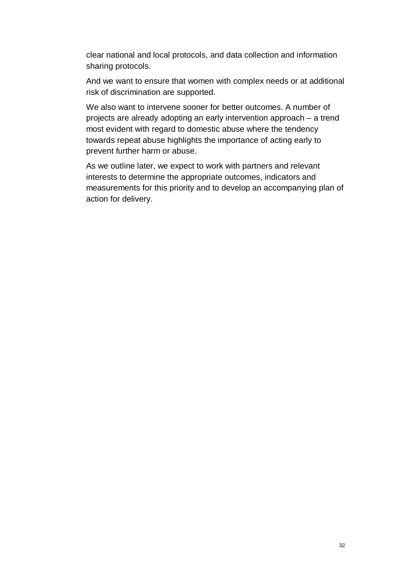clear national and local protocols, and data collection and information sharing protocols.

And we want to ensure that women with complex needs or at additional risk of discrimination are supported.

We also want to intervene sooner for better outcomes. A number of projects are already adopting an early intervention approach – a trend most evident with regard to domestic abuse where the tendency towards repeat abuse highlights the importance of acting early to prevent further harm or abuse.

As we outline later, we expect to work with partners and relevant interests to determine the appropriate outcomes, indicators and measurements for this priority and to develop an accompanying plan of action for delivery.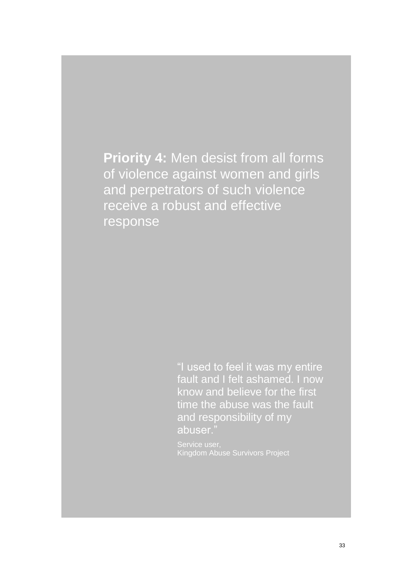**Priority 4:** Men desist from all forms of violence against women and girls and perpetrators of such violence receive a robust and effective response

> "I used to feel it was my entire fault and I felt ashamed. I now know and believe for the first time the abuse was the fault and responsibility of my abuser."

Kingdom Abuse Survivors Project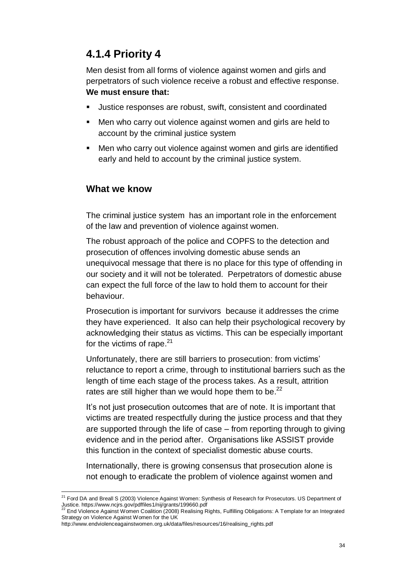## **4.1.4 Priority 4**

Men desist from all forms of violence against women and girls and perpetrators of such violence receive a robust and effective response. **We must ensure that:**

- Justice responses are robust, swift, consistent and coordinated
- Men who carry out violence against women and girls are held to account by the criminal justice system
- Men who carry out violence against women and girls are identified early and held to account by the criminal justice system.

#### **What we know**

The criminal justice system has an important role in the enforcement of the law and prevention of violence against women.

The robust approach of the police and COPFS to the detection and prosecution of offences involving domestic abuse sends an unequivocal message that there is no place for this type of offending in our society and it will not be tolerated. Perpetrators of domestic abuse can expect the full force of the law to hold them to account for their behaviour.

Prosecution is important for survivors because it addresses the crime they have experienced. It also can help their psychological recovery by acknowledging their status as victims. This can be especially important for the victims of rape.<sup>21</sup>

Unfortunately, there are still barriers to prosecution: from victims' reluctance to report a crime, through to institutional barriers such as the length of time each stage of the process takes. As a result, attrition rates are still higher than we would hope them to be. $^{22}$ 

It's not just prosecution outcomes that are of note. It is important that victims are treated respectfully during the justice process and that they are supported through the life of case – from reporting through to giving evidence and in the period after. Organisations like ASSIST provide this function in the context of specialist domestic abuse courts.

Internationally, there is growing consensus that prosecution alone is not enough to eradicate the problem of violence against women and

 $\overline{a}$ <sup>21</sup> Ford DA and Breall S (2003) Violence Against Women: Synthesis of Research for Prosecutors. US Department of Justice. https://www.ncjrs.gov/pdffiles1/nij/grants/199660.pdf<br>22 End Victores. A scient Warrel Correct Microsoft

<sup>22</sup> End Violence Against Women Coalition (2008) Realising Rights, Fulfilling Obligations: A Template for an Integrated Strategy on Violence Against Women for the UK

http://www.endviolenceagainstwomen.org.uk/data/files/resources/16/realising\_rights.pdf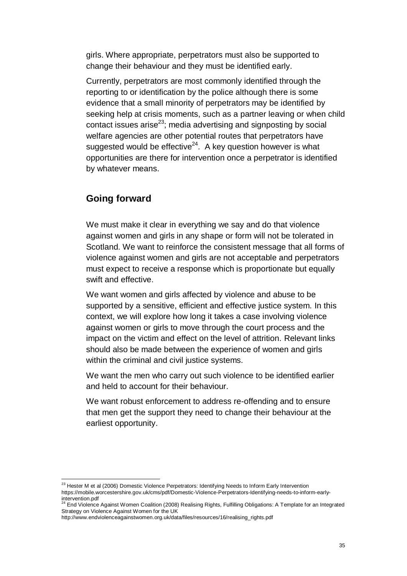girls. Where appropriate, perpetrators must also be supported to change their behaviour and they must be identified early.

Currently, perpetrators are most commonly identified through the reporting to or identification by the police although there is some evidence that a small minority of perpetrators may be identified by seeking help at crisis moments, such as a partner leaving or when child contact issues arise<sup>23</sup>; media advertising and signposting by social welfare agencies are other potential routes that perpetrators have suggested would be effective<sup>24</sup>. A key question however is what opportunities are there for intervention once a perpetrator is identified by whatever means.

#### **Going forward**

We must make it clear in everything we say and do that violence against women and girls in any shape or form will not be tolerated in Scotland. We want to reinforce the consistent message that all forms of violence against women and girls are not acceptable and perpetrators must expect to receive a response which is proportionate but equally swift and effective.

We want women and girls affected by violence and abuse to be supported by a sensitive, efficient and effective justice system. In this context, we will explore how long it takes a case involving violence against women or girls to move through the court process and the impact on the victim and effect on the level of attrition. Relevant links should also be made between the experience of women and girls within the criminal and civil justice systems.

We want the men who carry out such violence to be identified earlier and held to account for their behaviour.

We want robust enforcement to address re-offending and to ensure that men get the support they need to change their behaviour at the earliest opportunity.

 $\overline{a}$  $^{23}$  Hester M et al (2006) Domestic Violence Perpetrators: Identifying Needs to Inform Early Intervention https://mobile.worcestershire.gov.uk/cms/pdf/Domestic-Violence-Perpetrators-Identifying-needs-to-inform-early-

intervention.pdf<br><sup>24</sup> End Violence Against Women Coalition (2008) Realising Rights, Fulfilling Obligations: A Template for an Integrated Strategy on Violence Against Women for the UK

http://www.endviolenceagainstwomen.org.uk/data/files/resources/16/realising\_rights.pdf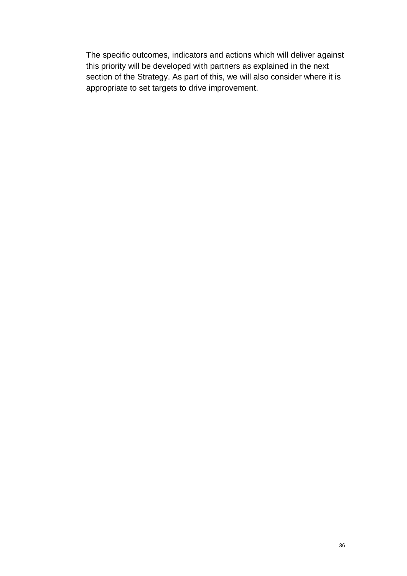The specific outcomes, indicators and actions which will deliver against this priority will be developed with partners as explained in the next section of the Strategy. As part of this, we will also consider where it is appropriate to set targets to drive improvement.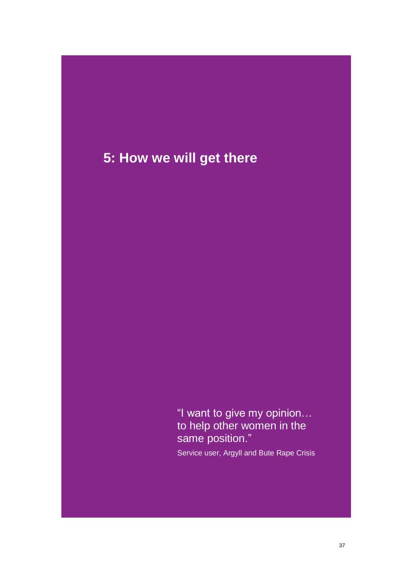## **5: How we will get there**

"I want to give my opinion… to help other women in the same position."

Service user, Argyll and Bute Rape Crisis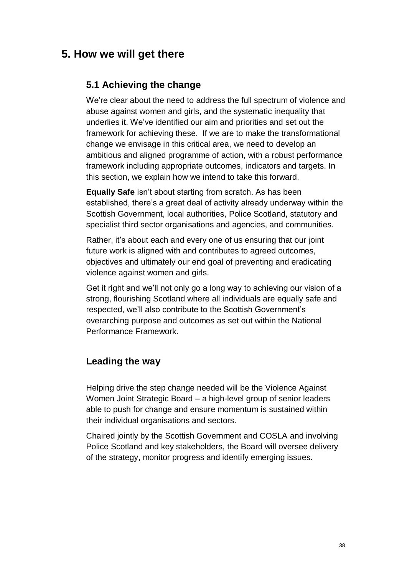## **5. How we will get there**

#### **5.1 Achieving the change**

We're clear about the need to address the full spectrum of violence and abuse against women and girls, and the systematic inequality that underlies it. We've identified our aim and priorities and set out the framework for achieving these. If we are to make the transformational change we envisage in this critical area, we need to develop an ambitious and aligned programme of action, with a robust performance framework including appropriate outcomes, indicators and targets. In this section, we explain how we intend to take this forward.

**Equally Safe** isn't about starting from scratch. As has been established, there's a great deal of activity already underway within the Scottish Government, local authorities, Police Scotland, statutory and specialist third sector organisations and agencies, and communities.

Rather, it's about each and every one of us ensuring that our joint future work is aligned with and contributes to agreed outcomes, objectives and ultimately our end goal of preventing and eradicating violence against women and girls.

Get it right and we'll not only go a long way to achieving our vision of a strong, flourishing Scotland where all individuals are equally safe and respected, we'll also contribute to the Scottish Government's overarching purpose and outcomes as set out within the National Performance Framework.

#### **Leading the way**

Helping drive the step change needed will be the Violence Against Women Joint Strategic Board – a high-level group of senior leaders able to push for change and ensure momentum is sustained within their individual organisations and sectors.

Chaired jointly by the Scottish Government and COSLA and involving Police Scotland and key stakeholders, the Board will oversee delivery of the strategy, monitor progress and identify emerging issues.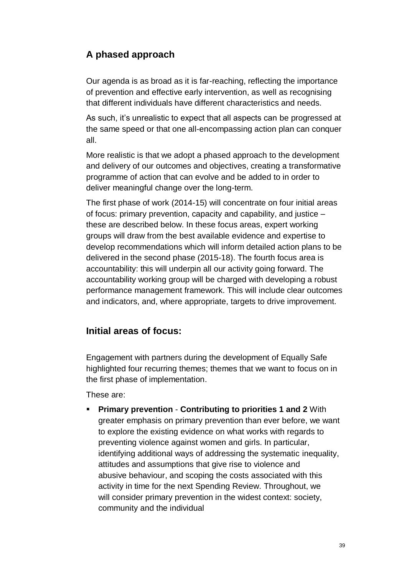### **A phased approach**

Our agenda is as broad as it is far-reaching, reflecting the importance of prevention and effective early intervention, as well as recognising that different individuals have different characteristics and needs.

As such, it's unrealistic to expect that all aspects can be progressed at the same speed or that one all-encompassing action plan can conquer all.

More realistic is that we adopt a phased approach to the development and delivery of our outcomes and objectives, creating a transformative programme of action that can evolve and be added to in order to deliver meaningful change over the long-term.

The first phase of work (2014-15) will concentrate on four initial areas of focus: primary prevention, capacity and capability, and justice – these are described below. In these focus areas, expert working groups will draw from the best available evidence and expertise to develop recommendations which will inform detailed action plans to be delivered in the second phase (2015-18). The fourth focus area is accountability: this will underpin all our activity going forward. The accountability working group will be charged with developing a robust performance management framework. This will include clear outcomes and indicators, and, where appropriate, targets to drive improvement.

#### **Initial areas of focus:**

Engagement with partners during the development of Equally Safe highlighted four recurring themes; themes that we want to focus on in the first phase of implementation.

These are:

 **Primary prevention** - **Contributing to priorities 1 and 2** With greater emphasis on primary prevention than ever before, we want to explore the existing evidence on what works with regards to preventing violence against women and girls. In particular, identifying additional ways of addressing the systematic inequality, attitudes and assumptions that give rise to violence and abusive behaviour, and scoping the costs associated with this activity in time for the next Spending Review. Throughout, we will consider primary prevention in the widest context: society, community and the individual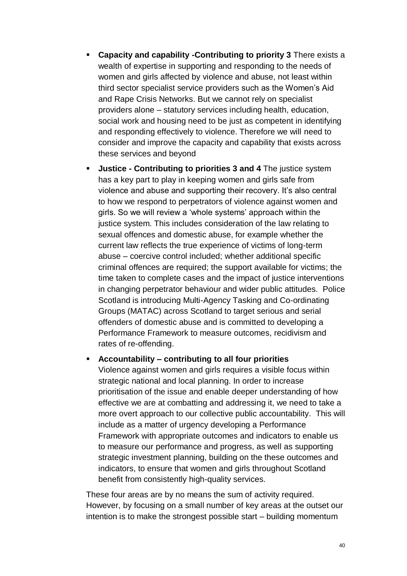- **Capacity and capability -Contributing to priority 3** There exists a wealth of expertise in supporting and responding to the needs of women and girls affected by violence and abuse, not least within third sector specialist service providers such as the Women's Aid and Rape Crisis Networks. But we cannot rely on specialist providers alone – statutory services including health, education, social work and housing need to be just as competent in identifying and responding effectively to violence. Therefore we will need to consider and improve the capacity and capability that exists across these services and beyond
- **Justice - Contributing to priorities 3 and 4** The justice system has a key part to play in keeping women and girls safe from violence and abuse and supporting their recovery. It's also central to how we respond to perpetrators of violence against women and girls. So we will review a 'whole systems' approach within the justice system. This includes consideration of the law relating to sexual offences and domestic abuse, for example whether the current law reflects the true experience of victims of long-term abuse – coercive control included; whether additional specific criminal offences are required; the support available for victims; the time taken to complete cases and the impact of justice interventions in changing perpetrator behaviour and wider public attitudes. Police Scotland is introducing Multi-Agency Tasking and Co-ordinating Groups (MATAC) across Scotland to target serious and serial offenders of domestic abuse and is committed to developing a Performance Framework to measure outcomes, recidivism and rates of re-offending.
- **Accountability – contributing to all four priorities** Violence against women and girls requires a visible focus within strategic national and local planning. In order to increase prioritisation of the issue and enable deeper understanding of how effective we are at combatting and addressing it, we need to take a more overt approach to our collective public accountability. This will include as a matter of urgency developing a Performance Framework with appropriate outcomes and indicators to enable us to measure our performance and progress, as well as supporting strategic investment planning, building on the these outcomes and indicators, to ensure that women and girls throughout Scotland benefit from consistently high-quality services.

These four areas are by no means the sum of activity required. However, by focusing on a small number of key areas at the outset our intention is to make the strongest possible start – building momentum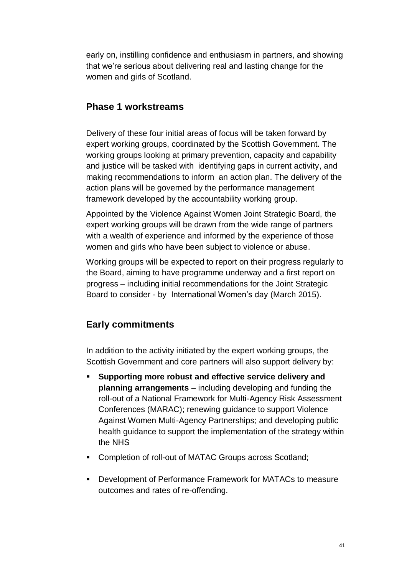early on, instilling confidence and enthusiasm in partners, and showing that we're serious about delivering real and lasting change for the women and girls of Scotland.

#### **Phase 1 workstreams**

Delivery of these four initial areas of focus will be taken forward by expert working groups, coordinated by the Scottish Government. The working groups looking at primary prevention, capacity and capability and justice will be tasked with identifying gaps in current activity, and making recommendations to inform an action plan. The delivery of the action plans will be governed by the performance management framework developed by the accountability working group.

Appointed by the Violence Against Women Joint Strategic Board, the expert working groups will be drawn from the wide range of partners with a wealth of experience and informed by the experience of those women and girls who have been subject to violence or abuse.

Working groups will be expected to report on their progress regularly to the Board, aiming to have programme underway and a first report on progress – including initial recommendations for the Joint Strategic Board to consider - by International Women's day (March 2015).

#### **Early commitments**

In addition to the activity initiated by the expert working groups, the Scottish Government and core partners will also support delivery by:

- **Supporting more robust and effective service delivery and planning arrangements** – including developing and funding the roll-out of a National Framework for Multi-Agency Risk Assessment Conferences (MARAC); renewing guidance to support Violence Against Women Multi-Agency Partnerships; and developing public health guidance to support the implementation of the strategy within the NHS
- Completion of roll-out of MATAC Groups across Scotland;
- Development of Performance Framework for MATACs to measure outcomes and rates of re-offending.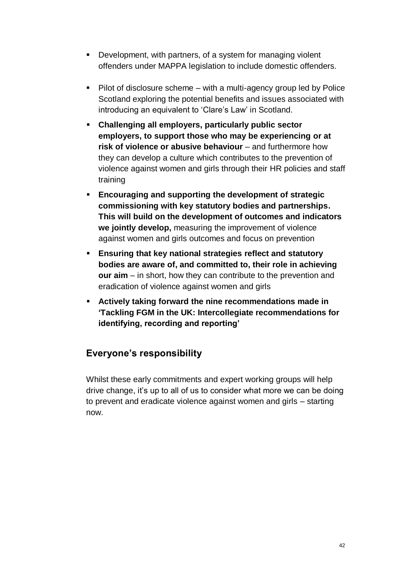- **Development, with partners, of a system for managing violent** offenders under MAPPA legislation to include domestic offenders.
- Pilot of disclosure scheme with a multi-agency group led by Police Scotland exploring the potential benefits and issues associated with introducing an equivalent to 'Clare's Law' in Scotland.
- **Challenging all employers, particularly public sector employers, to support those who may be experiencing or at risk of violence or abusive behaviour** – and furthermore how they can develop a culture which contributes to the prevention of violence against women and girls through their HR policies and staff training
- **Encouraging and supporting the development of strategic commissioning with key statutory bodies and partnerships. This will build on the development of outcomes and indicators we jointly develop,** measuring the improvement of violence against women and girls outcomes and focus on prevention
- **Ensuring that key national strategies reflect and statutory bodies are aware of, and committed to, their role in achieving our aim** – in short, how they can contribute to the prevention and eradication of violence against women and girls
- **Actively taking forward the nine recommendations made in ['Tackling FGM in the UK: Intercollegiate recommendations for](http://www.equalitynow.org/sites/default/files/Intercollegiate_FGM_report.pdf)  [identifying, recording and reporting'](http://www.equalitynow.org/sites/default/files/Intercollegiate_FGM_report.pdf)**

#### **Everyone's responsibility**

Whilst these early commitments and expert working groups will help drive change, it's up to all of us to consider what more we can be doing to prevent and eradicate violence against women and girls – starting now.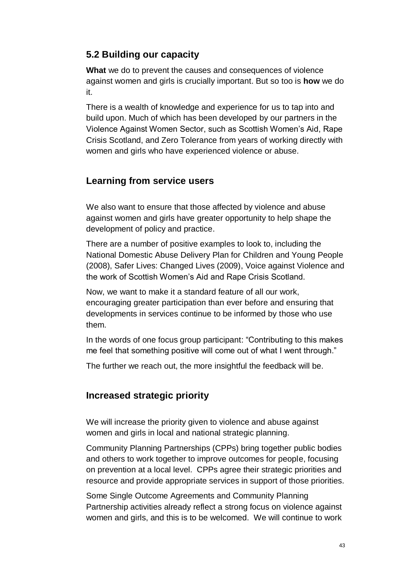#### **5.2 Building our capacity**

**What** we do to prevent the causes and consequences of violence against women and girls is crucially important. But so too is **how** we do it.

There is a wealth of knowledge and experience for us to tap into and build upon. Much of which has been developed by our partners in the Violence Against Women Sector, such as Scottish Women's Aid, Rape Crisis Scotland, and Zero Tolerance from years of working directly with women and girls who have experienced violence or abuse.

#### **Learning from service users**

We also want to ensure that those affected by violence and abuse against women and girls have greater opportunity to help shape the development of policy and practice.

There are a number of positive examples to look to, including the National Domestic Abuse Delivery Plan for Children and Young People (2008), Safer Lives: Changed Lives (2009), Voice against Violence and the work of Scottish Women's Aid and Rape Crisis Scotland.

Now, we want to make it a standard feature of all our work, encouraging greater participation than ever before and ensuring that developments in services continue to be informed by those who use them.

In the words of one focus group participant: "Contributing to this makes me feel that something positive will come out of what I went through."

The further we reach out, the more insightful the feedback will be.

#### **Increased strategic priority**

We will increase the priority given to violence and abuse against women and girls in local and national strategic planning.

Community Planning Partnerships (CPPs) bring together public bodies and others to work together to improve outcomes for people, focusing on prevention at a local level. CPPs agree their strategic priorities and resource and provide appropriate services in support of those priorities.

Some Single Outcome Agreements and Community Planning Partnership activities already reflect a strong focus on violence against women and girls, and this is to be welcomed. We will continue to work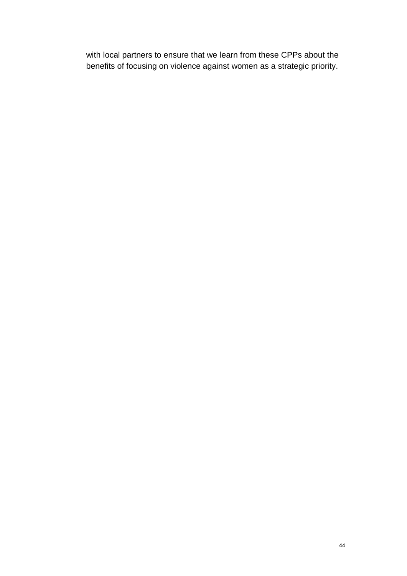with local partners to ensure that we learn from these CPPs about the benefits of focusing on violence against women as a strategic priority.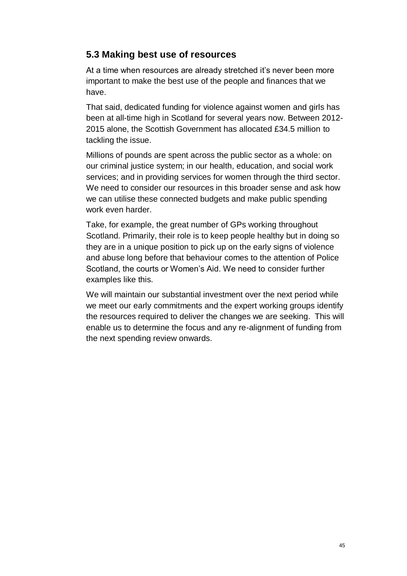#### **5.3 Making best use of resources**

At a time when resources are already stretched it's never been more important to make the best use of the people and finances that we have.

That said, dedicated funding for violence against women and girls has been at all-time high in Scotland for several years now. Between 2012- 2015 alone, the Scottish Government has allocated £34.5 million to tackling the issue.

Millions of pounds are spent across the public sector as a whole: on our criminal justice system; in our health, education, and social work services; and in providing services for women through the third sector. We need to consider our resources in this broader sense and ask how we can utilise these connected budgets and make public spending work even harder.

Take, for example, the great number of GPs working throughout Scotland. Primarily, their role is to keep people healthy but in doing so they are in a unique position to pick up on the early signs of violence and abuse long before that behaviour comes to the attention of Police Scotland, the courts or Women's Aid. We need to consider further examples like this.

We will maintain our substantial investment over the next period while we meet our early commitments and the expert working groups identify the resources required to deliver the changes we are seeking. This will enable us to determine the focus and any re-alignment of funding from the next spending review onwards.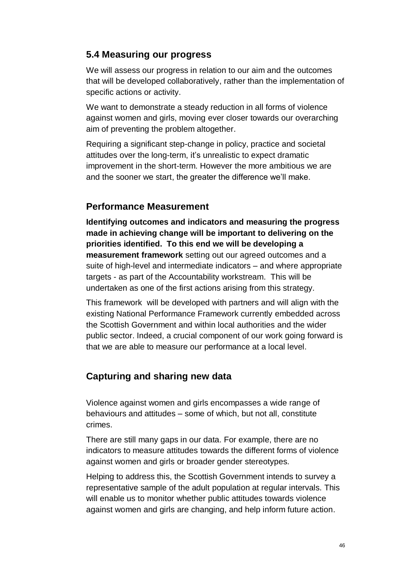#### **5.4 Measuring our progress**

We will assess our progress in relation to our aim and the outcomes that will be developed collaboratively, rather than the implementation of specific actions or activity.

We want to demonstrate a steady reduction in all forms of violence against women and girls, moving ever closer towards our overarching aim of preventing the problem altogether.

Requiring a significant step-change in policy, practice and societal attitudes over the long-term, it's unrealistic to expect dramatic improvement in the short-term. However the more ambitious we are and the sooner we start, the greater the difference we'll make.

#### **Performance Measurement**

**Identifying outcomes and indicators and measuring the progress made in achieving change will be important to delivering on the priorities identified. To this end we will be developing a measurement framework** setting out our agreed outcomes and a suite of high-level and intermediate indicators – and where appropriate targets - as part of the Accountability workstream. This will be undertaken as one of the first actions arising from this strategy.

This framework will be developed with partners and will align with the existing National Performance Framework currently embedded across the Scottish Government and within local authorities and the wider public sector. Indeed, a crucial component of our work going forward is that we are able to measure our performance at a local level.

#### **Capturing and sharing new data**

Violence against women and girls encompasses a wide range of behaviours and attitudes – some of which, but not all, constitute crimes.

There are still many gaps in our data. For example, there are no indicators to measure attitudes towards the different forms of violence against women and girls or broader gender stereotypes.

Helping to address this, the Scottish Government intends to survey a representative sample of the adult population at regular intervals. This will enable us to monitor whether public attitudes towards violence against women and girls are changing, and help inform future action.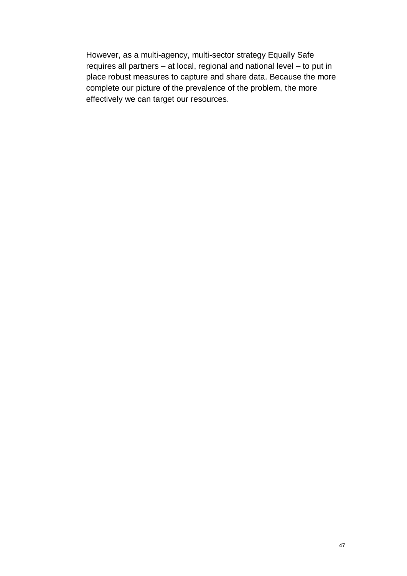However, as a multi-agency, multi-sector strategy Equally Safe requires all partners – at local, regional and national level – to put in place robust measures to capture and share data. Because the more complete our picture of the prevalence of the problem, the more effectively we can target our resources.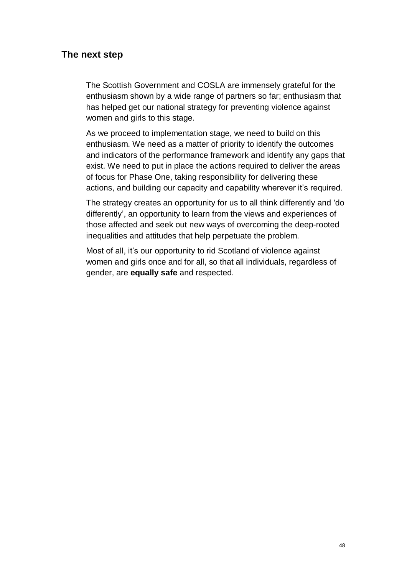#### **The next step**

The Scottish Government and COSLA are immensely grateful for the enthusiasm shown by a wide range of partners so far; enthusiasm that has helped get our national strategy for preventing violence against women and girls to this stage.

As we proceed to implementation stage, we need to build on this enthusiasm. We need as a matter of priority to identify the outcomes and indicators of the performance framework and identify any gaps that exist. We need to put in place the actions required to deliver the areas of focus for Phase One, taking responsibility for delivering these actions, and building our capacity and capability wherever it's required.

The strategy creates an opportunity for us to all think differently and 'do differently', an opportunity to learn from the views and experiences of those affected and seek out new ways of overcoming the deep-rooted inequalities and attitudes that help perpetuate the problem.

Most of all, it's our opportunity to rid Scotland of violence against women and girls once and for all, so that all individuals, regardless of gender, are **equally safe** and respected.